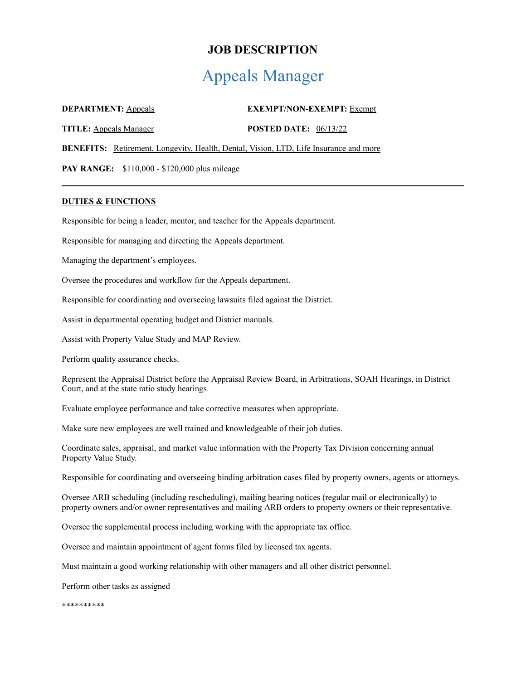# **JOB DESCRIPTION**

# Appeals Manager

| <b>DEPARTMENT: Appeals</b>    |                                                                                              |                                | <b>EXEMPT/NON-EXEMPT: Exempt</b> |
|-------------------------------|----------------------------------------------------------------------------------------------|--------------------------------|----------------------------------|
| <b>TITLE:</b> Appeals Manager |                                                                                              | <b>POSTED DATE:</b> $06/13/22$ |                                  |
|                               | <b>BENEFITS:</b> Retirement, Longevity, Health, Dental, Vision, LTD, Life Insurance and more |                                |                                  |

**PAY RANGE:** \$110,000 - \$120,000 plus mileage

### **DUTIES & FUNCTIONS**

Responsible for being a leader, mentor, and teacher for the Appeals department.

Responsible for managing and directing the Appeals department.

Managing the department's employees.

Oversee the procedures and workflow for the Appeals department.

Responsible for coordinating and overseeing lawsuits filed against the District.

Assist in departmental operating budget and District manuals.

Assist with Property Value Study and MAP Review.

Perform quality assurance checks.

Represent the Appraisal District before the Appraisal Review Board, in Arbitrations, SOAH Hearings, in District Court, and at the state ratio study hearings.

Evaluate employee performance and take corrective measures when appropriate.

Make sure new employees are well trained and knowledgeable of their job duties.

Coordinate sales, appraisal, and market value information with the Property Tax Division concerning annual Property Value Study.

Responsible for coordinating and overseeing binding arbitration cases filed by property owners, agents or attorneys.

Oversee ARB scheduling (including rescheduling), mailing hearing notices (regular mail or electronically) to property owners and/or owner representatives and mailing ARB orders to property owners or their representative.

Oversee the supplemental process including working with the appropriate tax office.

Oversee and maintain appointment of agent forms filed by licensed tax agents.

Must maintain a good working relationship with other managers and all other district personnel.

Perform other tasks as assigned

\*\*\*\*\*\*\*\*\*\*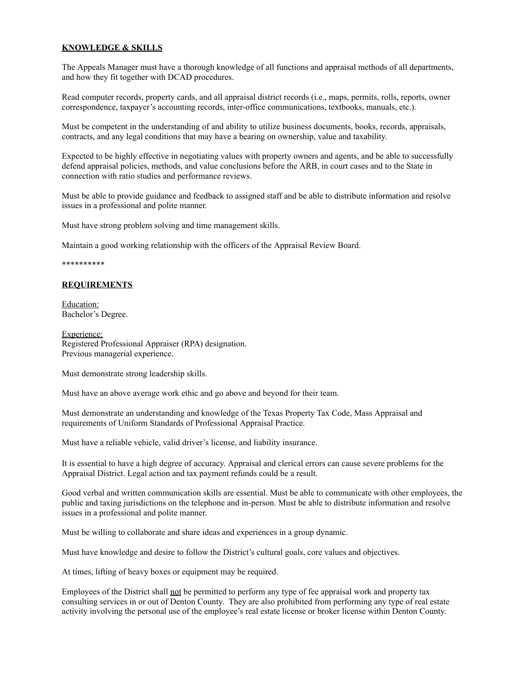# **KNOWLEDGE & SKILLS**

The Appeals Manager must have a thorough knowledge of all functions and appraisal methods of all departments, and how they fit together with DCAD procedures.

Read computer records, property cards, and all appraisal district records (i.e., maps, permits, rolls, reports, owner correspondence, taxpayer's accounting records, inter-office communications, textbooks, manuals, etc.).

Must be competent in the understanding of and ability to utilize business documents, books, records, appraisals, contracts, and any legal conditions that may have a bearing on ownership, value and taxability.

Expected to be highly effective in negotiating values with property owners and agents, and be able to successfully defend appraisal policies, methods, and value conclusions before the ARB, in court cases and to the State in connection with ratio studies and performance reviews.

Must be able to provide guidance and feedback to assigned staff and be able to distribute information and resolve issues in a professional and polite manner.

Must have strong problem solving and time management skills.

Maintain a good working relationship with the officers of the Appraisal Review Board.

#### \*\*\*\*\*\*\*\*\*\*

# **REQUIREMENTS**

Education: Bachelor's Degree.

Experience: Registered Professional Appraiser (RPA) designation. Previous managerial experience.

Must demonstrate strong leadership skills.

Must have an above average work ethic and go above and beyond for their team.

Must demonstrate an understanding and knowledge of the Texas Property Tax Code, Mass Appraisal and requirements of Uniform Standards of Professional Appraisal Practice.

Must have a reliable vehicle, valid driver's license, and liability insurance.

It is essential to have a high degree of accuracy. Appraisal and clerical errors can cause severe problems for the Appraisal District. Legal action and tax payment refunds could be a result.

Good verbal and written communication skills are essential. Must be able to communicate with other employees, the public and taxing jurisdictions on the telephone and in-person. Must be able to distribute information and resolve issues in a professional and polite manner.

Must be willing to collaborate and share ideas and experiences in a group dynamic.

Must have knowledge and desire to follow the District's cultural goals, core values and objectives.

At times, lifting of heavy boxes or equipment may be required.

Employees of the District shall not be permitted to perform any type of fee appraisal work and property tax consulting services in or out of Denton County. They are also prohibited from performing any type of real estate activity involving the personal use of the employee's real estate license or broker license within Denton County.